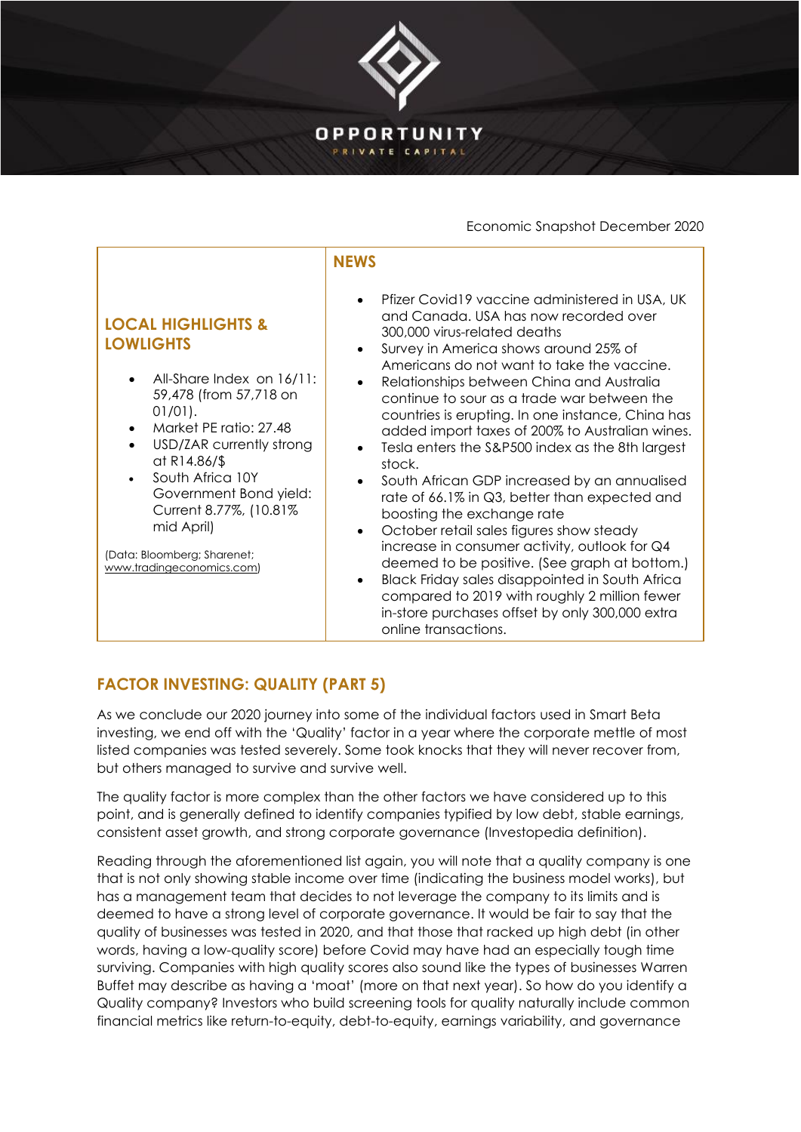

## Economic Snapshot December 2020

|                                                                                                                                                                                                                                                                                                                                                                          | <b>NEWS</b>                                                                                                                                                                                                                                                                                                                                                                                                                                                                                                                                                                                                                                                                                                                                                                                                                                                                                                                                                                                                                             |
|--------------------------------------------------------------------------------------------------------------------------------------------------------------------------------------------------------------------------------------------------------------------------------------------------------------------------------------------------------------------------|-----------------------------------------------------------------------------------------------------------------------------------------------------------------------------------------------------------------------------------------------------------------------------------------------------------------------------------------------------------------------------------------------------------------------------------------------------------------------------------------------------------------------------------------------------------------------------------------------------------------------------------------------------------------------------------------------------------------------------------------------------------------------------------------------------------------------------------------------------------------------------------------------------------------------------------------------------------------------------------------------------------------------------------------|
| <b>LOCAL HIGHLIGHTS &amp;</b><br><b>LOWLIGHTS</b><br>All-Share Index on 16/11:<br>59,478 (from 57,718 on<br>$01/01$ .<br>Market PE ratio: 27.48<br>$\bullet$<br>USD/ZAR currently strong<br>at R14.86/\$<br>South Africa 10Y<br>$\bullet$<br>Government Bond yield:<br>Current 8.77%, (10.81%)<br>mid April)<br>(Data: Bloomberg; Sharenet;<br>www.tradingeconomics.com) | Pfizer Covid19 vaccine administered in USA, UK<br>$\bullet$<br>and Canada. USA has now recorded over<br>300,000 virus-related deaths<br>Survey in America shows around 25% of<br>$\bullet$<br>Americans do not want to take the vaccine.<br>Relationships between China and Australia<br>$\bullet$<br>continue to sour as a trade war between the<br>countries is erupting. In one instance, China has<br>added import taxes of 200% to Australian wines.<br>Tesla enters the S&P500 index as the 8th largest<br>$\bullet$<br>stock.<br>South African GDP increased by an annualised<br>$\bullet$<br>rate of 66.1% in Q3, better than expected and<br>boosting the exchange rate<br>October retail sales figures show steady<br>$\bullet$<br>increase in consumer activity, outlook for Q4<br>deemed to be positive. (See graph at bottom.)<br>Black Friday sales disappointed in South Africa<br>$\bullet$<br>compared to 2019 with roughly 2 million fewer<br>in-store purchases offset by only 300,000 extra<br>online transactions. |

## **FACTOR INVESTING: QUALITY (PART 5)**

As we conclude our 2020 journey into some of the individual factors used in Smart Beta investing, we end off with the 'Quality' factor in a year where the corporate mettle of most listed companies was tested severely. Some took knocks that they will never recover from, but others managed to survive and survive well.

The quality factor is more complex than the other factors we have considered up to this point, and is generally defined to identify companies typified by low debt, stable earnings, consistent asset growth, and strong corporate governance (Investopedia definition).

Reading through the aforementioned list again, you will note that a quality company is one that is not only showing stable income over time (indicating the business model works), but has a management team that decides to not leverage the company to its limits and is deemed to have a strong level of corporate governance. It would be fair to say that the quality of businesses was tested in 2020, and that those that racked up high debt (in other words, having a low-quality score) before Covid may have had an especially tough time surviving. Companies with high quality scores also sound like the types of businesses Warren Buffet may describe as having a 'moat' (more on that next year). So how do you identify a Quality company? Investors who build screening tools for quality naturally include common financial metrics like return-to-equity, debt-to-equity, earnings variability, and governance